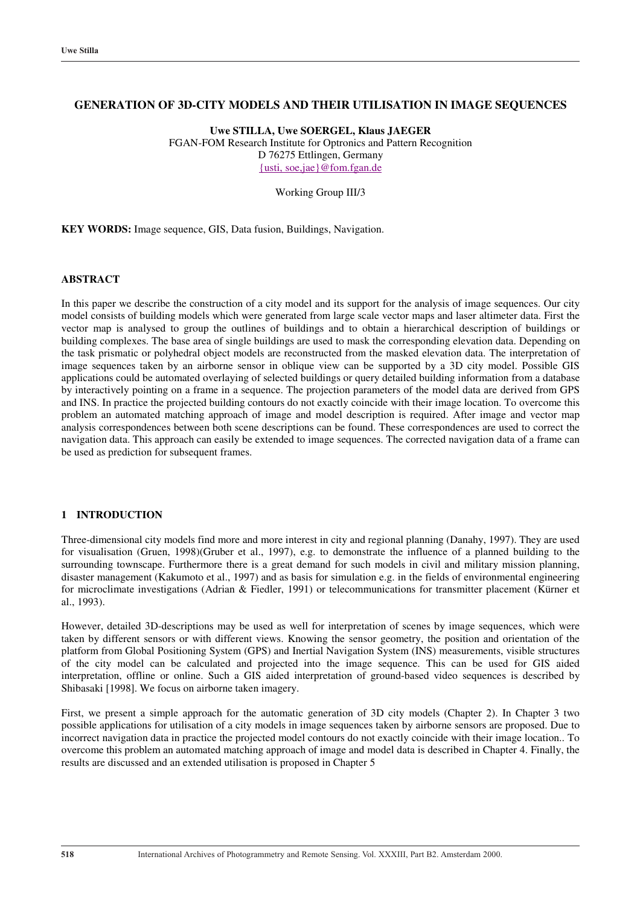### **GENERATION OF 3D-CITY MODELS AND THEIR UTILISATION IN IMAGE SEQUENCES**

**Uwe STILLA, Uwe SOERGEL, Klaus JAEGER** FGAN-FOM Research Institute for Optronics and Pattern Recognition D 76275 Ettlingen, Germany {usti, soe,jae}@fom.fgan.de

Working Group III/3

**KEY WORDS:** Image sequence, GIS, Data fusion, Buildings, Navigation.

#### **ABSTRACT**

In this paper we describe the construction of a city model and its support for the analysis of image sequences. Our city model consists of building models which were generated from large scale vector maps and laser altimeter data. First the vector map is analysed to group the outlines of buildings and to obtain a hierarchical description of buildings or building complexes. The base area of single buildings are used to mask the corresponding elevation data. Depending on the task prismatic or polyhedral object models are reconstructed from the masked elevation data. The interpretation of image sequences taken by an airborne sensor in oblique view can be supported by a 3D city model. Possible GIS applications could be automated overlaying of selected buildings or query detailed building information from a database by interactively pointing on a frame in a sequence. The projection parameters of the model data are derived from GPS and INS. In practice the projected building contours do not exactly coincide with their image location. To overcome this problem an automated matching approach of image and model description is required. After image and vector map analysis correspondences between both scene descriptions can be found. These correspondences are used to correct the navigation data. This approach can easily be extended to image sequences. The corrected navigation data of a frame can be used as prediction for subsequent frames.

#### **1 INTRODUCTION**

Three-dimensional city models find more and more interest in city and regional planning (Danahy, 1997). They are used for visualisation (Gruen, 1998)(Gruber et al., 1997), e.g. to demonstrate the influence of a planned building to the surrounding townscape. Furthermore there is a great demand for such models in civil and military mission planning, disaster management (Kakumoto et al., 1997) and as basis for simulation e.g. in the fields of environmental engineering for microclimate investigations (Adrian & Fiedler, 1991) or telecommunications for transmitter placement (Kürner et al., 1993).

However, detailed 3D-descriptions may be used as well for interpretation of scenes by image sequences, which were taken by different sensors or with different views. Knowing the sensor geometry, the position and orientation of the platform from Global Positioning System (GPS) and Inertial Navigation System (INS) measurements, visible structures of the city model can be calculated and projected into the image sequence. This can be used for GIS aided interpretation, offline or online. Such a GIS aided interpretation of ground-based video sequences is described by Shibasaki [1998]. We focus on airborne taken imagery.

First, we present a simple approach for the automatic generation of 3D city models (Chapter 2). In Chapter 3 two possible applications for utilisation of a city models in image sequences taken by airborne sensors are proposed. Due to incorrect navigation data in practice the projected model contours do not exactly coincide with their image location.. To overcome this problem an automated matching approach of image and model data is described in Chapter 4. Finally, the results are discussed and an extended utilisation is proposed in Chapter 5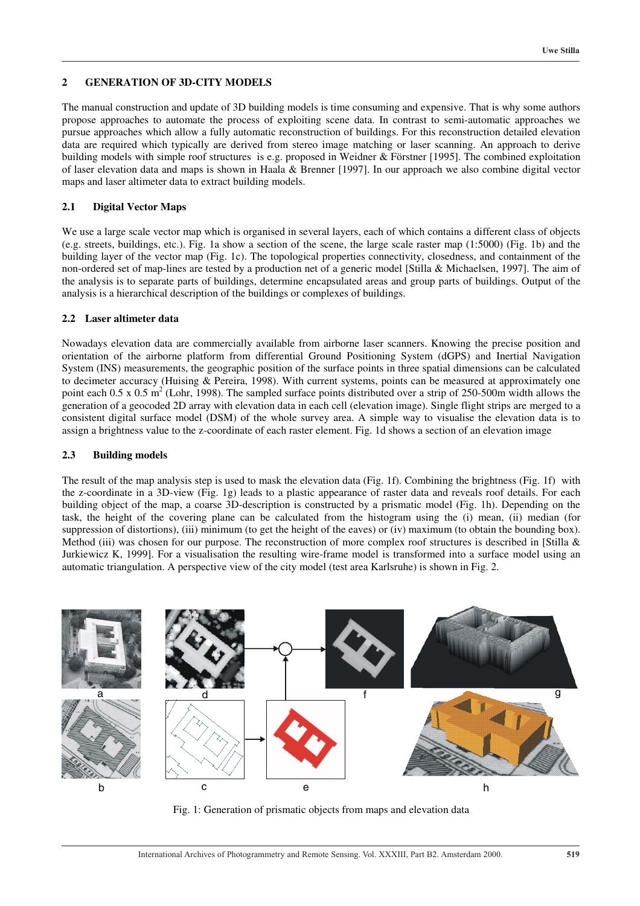### **2 GENERATION OF 3D-CITY MODELS**

The manual construction and update of 3D building models is time consuming and expensive. That is why some authors propose approaches to automate the process of exploiting scene data. In contrast to semi-automatic approaches we pursue approaches which allow a fully automatic reconstruction of buildings. For this reconstruction detailed elevation data are required which typically are derived from stereo image matching or laser scanning. An approach to derive building models with simple roof structures is e.g. proposed in Weidner & Förstner [1995]. The combined exploitation of laser elevation data and maps is shown in Haala & Brenner [1997]. In our approach we also combine digital vector maps and laser altimeter data to extract building models.

# **2.1 Digital Vector Maps**

We use a large scale vector map which is organised in several layers, each of which contains a different class of objects (e.g. streets, buildings, etc.). Fig. 1a show a section of the scene, the large scale raster map (1:5000) (Fig. 1b) and the building layer of the vector map (Fig. 1c). The topological properties connectivity, closedness, and containment of the non-ordered set of map-lines are tested by a production net of a generic model [Stilla & Michaelsen, 1997]. The aim of the analysis is to separate parts of buildings, determine encapsulated areas and group parts of buildings. Output of the analysis is a hierarchical description of the buildings or complexes of buildings.

# **2.2 Laser altimeter data**

Nowadays elevation data are commercially available from airborne laser scanners. Knowing the precise position and orientation of the airborne platform from differential Ground Positioning System (dGPS) and Inertial Navigation System (INS) measurements, the geographic position of the surface points in three spatial dimensions can be calculated to decimeter accuracy (Huising & Pereira, 1998). With current systems, points can be measured at approximately one point each 0.5 x 0.5 m<sup>2</sup> (Lohr, 1998). The sampled surface points distributed over a strip of 250-500m width allows the generation of a geocoded 2D array with elevation data in each cell (elevation image). Single flight strips are merged to a consistent digital surface model (DSM) of the whole survey area. A simple way to visualise the elevation data is to assign a brightness value to the z-coordinate of each raster element. Fig. 1d shows a section of an elevation image

### **2.3 Building models**

The result of the map analysis step is used to mask the elevation data (Fig. 1f). Combining the brightness (Fig. 1f) with the z-coordinate in a 3D-view (Fig. 1g) leads to a plastic appearance of raster data and reveals roof details. For each building object of the map, a coarse 3D-description is constructed by a prismatic model (Fig. 1h). Depending on the task, the height of the covering plane can be calculated from the histogram using the (i) mean, (ii) median (for suppression of distortions), (iii) minimum (to get the height of the eaves) or (iv) maximum (to obtain the bounding box). Method (iii) was chosen for our purpose. The reconstruction of more complex roof structures is described in [Stilla  $\&$ Jurkiewicz K, 1999]. For a visualisation the resulting wire-frame model is transformed into a surface model using an automatic triangulation. A perspective view of the city model (test area Karlsruhe) is shown in Fig. 2.



Fig. 1: Generation of prismatic objects from maps and elevation data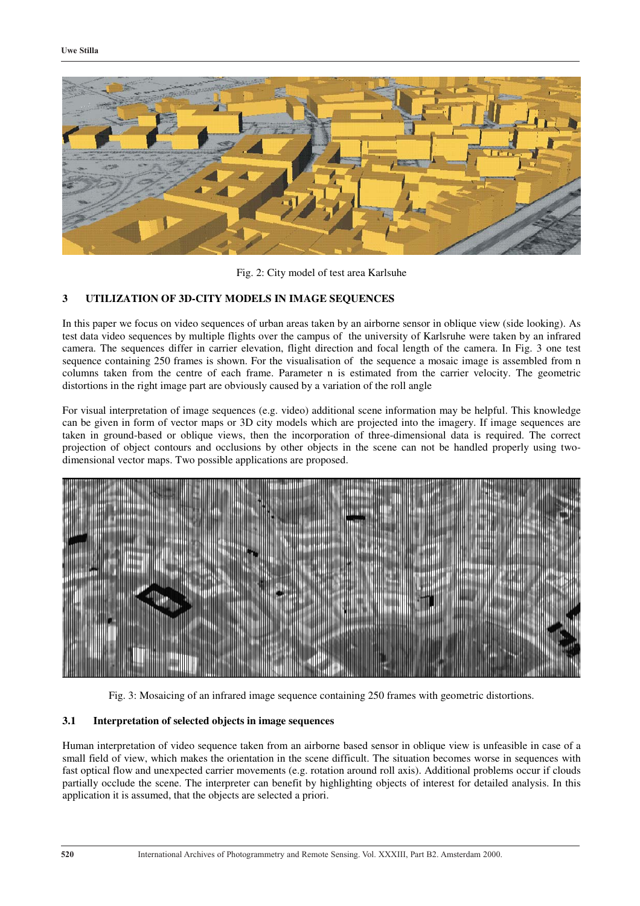

Fig. 2: City model of test area Karlsuhe

# **3 UTILIZATION OF 3D-CITY MODELS IN IMAGE SEQUENCES**

In this paper we focus on video sequences of urban areas taken by an airborne sensor in oblique view (side looking). As test data video sequences by multiple flights over the campus of the university of Karlsruhe were taken by an infrared camera. The sequences differ in carrier elevation, flight direction and focal length of the camera. In Fig. 3 one test sequence containing 250 frames is shown. For the visualisation of the sequence a mosaic image is assembled from n columns taken from the centre of each frame. Parameter n is estimated from the carrier velocity. The geometric distortions in the right image part are obviously caused by a variation of the roll angle

For visual interpretation of image sequences (e.g. video) additional scene information may be helpful. This knowledge can be given in form of vector maps or 3D city models which are projected into the imagery. If image sequences are taken in ground-based or oblique views, then the incorporation of three-dimensional data is required. The correct projection of object contours and occlusions by other objects in the scene can not be handled properly using twodimensional vector maps. Two possible applications are proposed.



Fig. 3: Mosaicing of an infrared image sequence containing 250 frames with geometric distortions.

#### **3.1 Interpretation of selected objects in image sequences**

Human interpretation of video sequence taken from an airborne based sensor in oblique view is unfeasible in case of a small field of view, which makes the orientation in the scene difficult. The situation becomes worse in sequences with fast optical flow and unexpected carrier movements (e.g. rotation around roll axis). Additional problems occur if clouds partially occlude the scene. The interpreter can benefit by highlighting objects of interest for detailed analysis. In this application it is assumed, that the objects are selected a priori.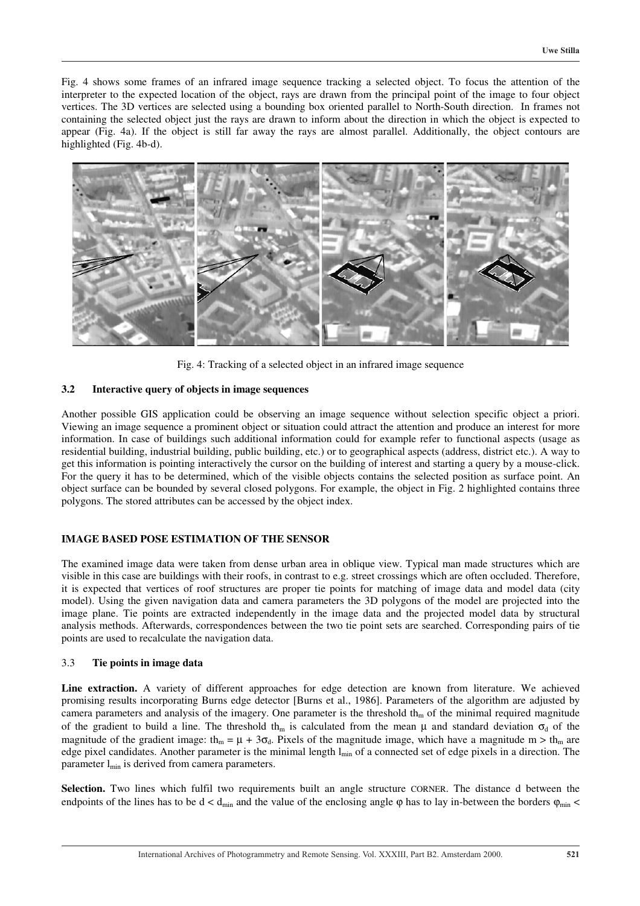Fig. 4 shows some frames of an infrared image sequence tracking a selected object. To focus the attention of the interpreter to the expected location of the object, rays are drawn from the principal point of the image to four object vertices. The 3D vertices are selected using a bounding box oriented parallel to North-South direction. In frames not containing the selected object just the rays are drawn to inform about the direction in which the object is expected to appear (Fig. 4a). If the object is still far away the rays are almost parallel. Additionally, the object contours are highlighted (Fig. 4b-d).



Fig. 4: Tracking of a selected object in an infrared image sequence

### **3.2 Interactive query of objects in image sequences**

Another possible GIS application could be observing an image sequence without selection specific object a priori. Viewing an image sequence a prominent object or situation could attract the attention and produce an interest for more information. In case of buildings such additional information could for example refer to functional aspects (usage as residential building, industrial building, public building, etc.) or to geographical aspects (address, district etc.). A way to get this information is pointing interactively the cursor on the building of interest and starting a query by a mouse-click. For the query it has to be determined, which of the visible objects contains the selected position as surface point. An object surface can be bounded by several closed polygons. For example, the object in Fig. 2 highlighted contains three polygons. The stored attributes can be accessed by the object index.

# **IMAGE BASED POSE ESTIMATION OF THE SENSOR**

The examined image data were taken from dense urban area in oblique view. Typical man made structures which are visible in this case are buildings with their roofs, in contrast to e.g. street crossings which are often occluded. Therefore, it is expected that vertices of roof structures are proper tie points for matching of image data and model data (city model). Using the given navigation data and camera parameters the 3D polygons of the model are projected into the image plane. Tie points are extracted independently in the image data and the projected model data by structural analysis methods. Afterwards, correspondences between the two tie point sets are searched. Corresponding pairs of tie points are used to recalculate the navigation data.

# 3.3 **Tie points in image data**

Line extraction. A variety of different approaches for edge detection are known from literature. We achieved promising results incorporating Burns edge detector [Burns et al., 1986]. Parameters of the algorithm are adjusted by camera parameters and analysis of the imagery. One parameter is the threshold th<sub>m</sub> of the minimal required magnitude of the gradient to build a line. The threshold th<sub>m</sub> is calculated from the mean  $\mu$  and standard deviation  $\sigma_d$  of the magnitude of the gradient image: th<sub>m</sub> =  $\mu$  + 3 $\sigma_d$ . Pixels of the magnitude image, which have a magnitude m > th<sub>m</sub> are edge pixel candidates. Another parameter is the minimal length  $l_{\text{min}}$  of a connected set of edge pixels in a direction. The parameter  $l_{\min}$  is derived from camera parameters.

**Selection.** Two lines which fulfil two requirements built an angle structure CORNER. The distance d between the endpoints of the lines has to be  $d < d_{min}$  and the value of the enclosing angle  $\varphi$  has to lay in-between the borders  $\varphi_{min}$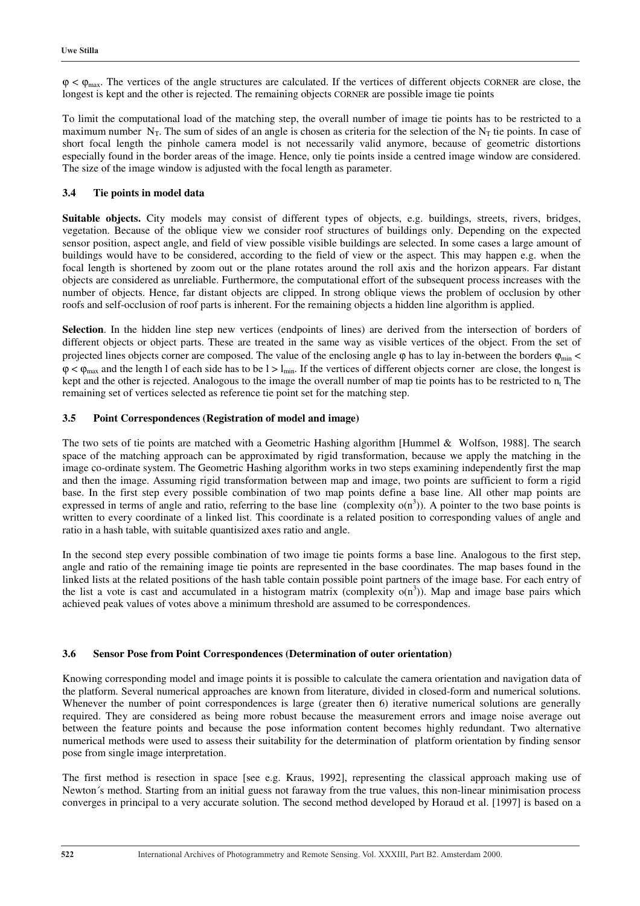$\varphi < \varphi_{\text{max}}$ . The vertices of the angle structures are calculated. If the vertices of different objects CORNER are close, the longest is kept and the other is rejected. The remaining objects CORNER are possible image tie points

To limit the computational load of the matching step, the overall number of image tie points has to be restricted to a maximum number  $N_T$ . The sum of sides of an angle is chosen as criteria for the selection of the  $N_T$  tie points. In case of short focal length the pinhole camera model is not necessarily valid anymore, because of geometric distortions especially found in the border areas of the image. Hence, only tie points inside a centred image window are considered. The size of the image window is adjusted with the focal length as parameter.

### **3.4 Tie points in model data**

**Suitable objects.** City models may consist of different types of objects, e.g. buildings, streets, rivers, bridges, vegetation. Because of the oblique view we consider roof structures of buildings only. Depending on the expected sensor position, aspect angle, and field of view possible visible buildings are selected. In some cases a large amount of buildings would have to be considered, according to the field of view or the aspect. This may happen e.g. when the focal length is shortened by zoom out or the plane rotates around the roll axis and the horizon appears. Far distant objects are considered as unreliable. Furthermore, the computational effort of the subsequent process increases with the number of objects. Hence, far distant objects are clipped. In strong oblique views the problem of occlusion by other roofs and self-occlusion of roof parts is inherent. For the remaining objects a hidden line algorithm is applied.

**Selection**. In the hidden line step new vertices (endpoints of lines) are derived from the intersection of borders of different objects or object parts. These are treated in the same way as visible vertices of the object. From the set of projected lines objects corner are composed. The value of the enclosing angle  $\varphi$  has to lay in-between the borders  $\varphi_{\text{min}}$  <  $\varphi < \varphi_{\text{max}}$  and the length 1 of each side has to be  $1 > l_{\text{min}}$ . If the vertices of different objects corner are close, the longest is kept and the other is rejected. Analogous to the image the overall number of map tie points has to be restricted to n<sub>t</sub> The remaining set of vertices selected as reference tie point set for the matching step.

### **3.5 Point Correspondences (Registration of model and image)**

The two sets of tie points are matched with a Geometric Hashing algorithm [Hummel & Wolfson, 1988]. The search space of the matching approach can be approximated by rigid transformation, because we apply the matching in the image co-ordinate system. The Geometric Hashing algorithm works in two steps examining independently first the map and then the image. Assuming rigid transformation between map and image, two points are sufficient to form a rigid base. In the first step every possible combination of two map points define a base line. All other map points are expressed in terms of angle and ratio, referring to the base line (complexity  $o(n^3)$ ). A pointer to the two base points is written to every coordinate of a linked list. This coordinate is a related position to corresponding values of angle and ratio in a hash table, with suitable quantisized axes ratio and angle.

In the second step every possible combination of two image tie points forms a base line. Analogous to the first step, angle and ratio of the remaining image tie points are represented in the base coordinates. The map bases found in the linked lists at the related positions of the hash table contain possible point partners of the image base. For each entry of the list a vote is cast and accumulated in a histogram matrix (complexity  $o(n^3)$ ). Map and image base pairs which achieved peak values of votes above a minimum threshold are assumed to be correspondences.

### **3.6 Sensor Pose from Point Correspondences (Determination of outer orientation)**

Knowing corresponding model and image points it is possible to calculate the camera orientation and navigation data of the platform. Several numerical approaches are known from literature, divided in closed-form and numerical solutions. Whenever the number of point correspondences is large (greater then 6) iterative numerical solutions are generally required. They are considered as being more robust because the measurement errors and image noise average out between the feature points and because the pose information content becomes highly redundant. Two alternative numerical methods were used to assess their suitability for the determination of platform orientation by finding sensor pose from single image interpretation.

The first method is resection in space [see e.g. Kraus, 1992], representing the classical approach making use of Newton´s method. Starting from an initial guess not faraway from the true values, this non-linear minimisation process converges in principal to a very accurate solution. The second method developed by Horaud et al. [1997] is based on a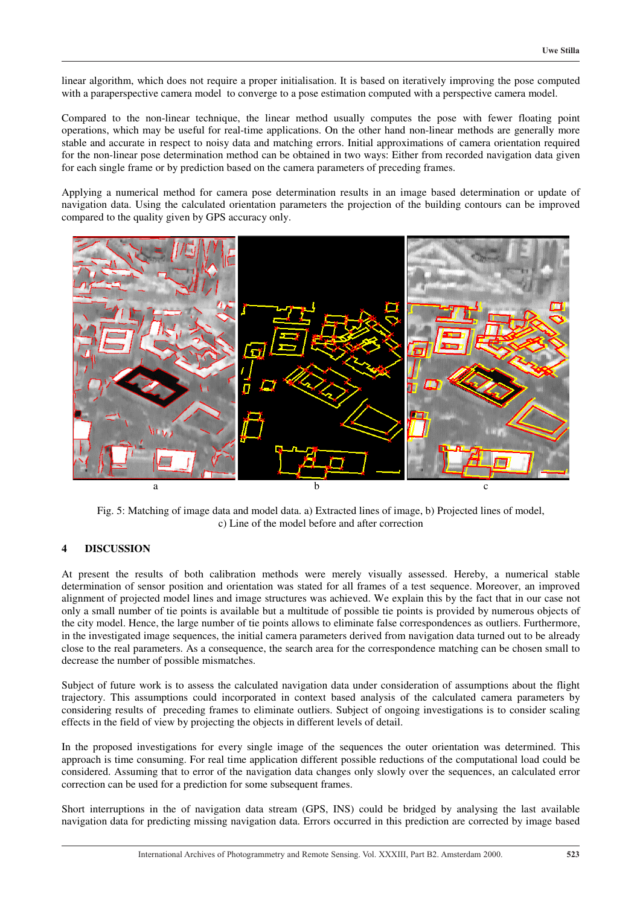linear algorithm, which does not require a proper initialisation. It is based on iteratively improving the pose computed with a paraperspective camera model to converge to a pose estimation computed with a perspective camera model.

Compared to the non-linear technique, the linear method usually computes the pose with fewer floating point operations, which may be useful for real-time applications. On the other hand non-linear methods are generally more stable and accurate in respect to noisy data and matching errors. Initial approximations of camera orientation required for the non-linear pose determination method can be obtained in two ways: Either from recorded navigation data given for each single frame or by prediction based on the camera parameters of preceding frames.

Applying a numerical method for camera pose determination results in an image based determination or update of navigation data. Using the calculated orientation parameters the projection of the building contours can be improved compared to the quality given by GPS accuracy only.



Fig. 5: Matching of image data and model data. a) Extracted lines of image, b) Projected lines of model, c) Line of the model before and after correction

### **4 DISCUSSION**

At present the results of both calibration methods were merely visually assessed. Hereby, a numerical stable determination of sensor position and orientation was stated for all frames of a test sequence. Moreover, an improved alignment of projected model lines and image structures was achieved. We explain this by the fact that in our case not only a small number of tie points is available but a multitude of possible tie points is provided by numerous objects of the city model. Hence, the large number of tie points allows to eliminate false correspondences as outliers. Furthermore, in the investigated image sequences, the initial camera parameters derived from navigation data turned out to be already close to the real parameters. As a consequence, the search area for the correspondence matching can be chosen small to decrease the number of possible mismatches.

Subject of future work is to assess the calculated navigation data under consideration of assumptions about the flight trajectory. This assumptions could incorporated in context based analysis of the calculated camera parameters by considering results of preceding frames to eliminate outliers. Subject of ongoing investigations is to consider scaling effects in the field of view by projecting the objects in different levels of detail.

In the proposed investigations for every single image of the sequences the outer orientation was determined. This approach is time consuming. For real time application different possible reductions of the computational load could be considered. Assuming that to error of the navigation data changes only slowly over the sequences, an calculated error correction can be used for a prediction for some subsequent frames.

Short interruptions in the of navigation data stream (GPS, INS) could be bridged by analysing the last available navigation data for predicting missing navigation data. Errors occurred in this prediction are corrected by image based